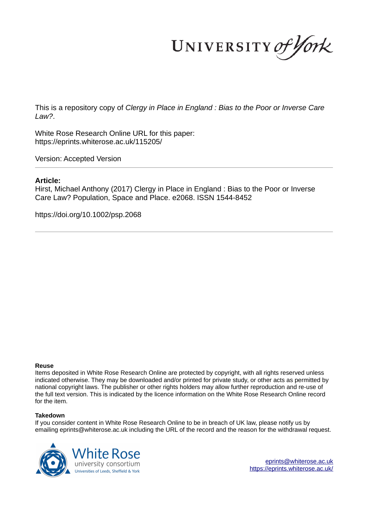UNIVERSITY of York

This is a repository copy of *Clergy in Place in England : Bias to the Poor or Inverse Care Law?*.

White Rose Research Online URL for this paper: https://eprints.whiterose.ac.uk/115205/

Version: Accepted Version

#### **Article:**

Hirst, Michael Anthony (2017) Clergy in Place in England : Bias to the Poor or Inverse Care Law? Population, Space and Place. e2068. ISSN 1544-8452

https://doi.org/10.1002/psp.2068

#### **Reuse**

Items deposited in White Rose Research Online are protected by copyright, with all rights reserved unless indicated otherwise. They may be downloaded and/or printed for private study, or other acts as permitted by national copyright laws. The publisher or other rights holders may allow further reproduction and re-use of the full text version. This is indicated by the licence information on the White Rose Research Online record for the item.

#### **Takedown**

If you consider content in White Rose Research Online to be in breach of UK law, please notify us by emailing eprints@whiterose.ac.uk including the URL of the record and the reason for the withdrawal request.



eprints@whiterose.ac.uk https://eprints.whiterose.ac.uk/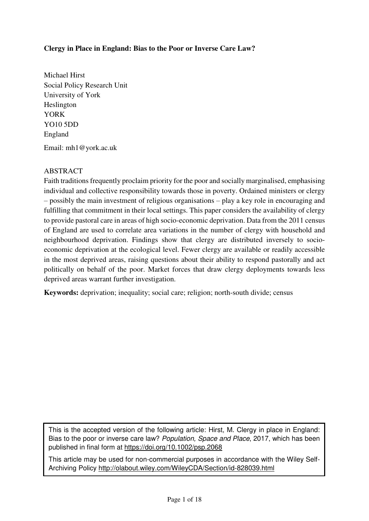## **Clergy in Place in England: Bias to the Poor or Inverse Care Law?**

Michael Hirst Social Policy Research Unit University of York Heslington YORK YO10 5DD England Email: mh1@york.ac.uk

## ABSTRACT

Faith traditions frequently proclaim priority for the poor and socially marginalised, emphasising individual and collective responsibility towards those in poverty. Ordained ministers or clergy – possibly the main investment of religious organisations – play a key role in encouraging and fulfilling that commitment in their local settings. This paper considers the availability of clergy to provide pastoral care in areas of high socio-economic deprivation. Data from the 2011 census of England are used to correlate area variations in the number of clergy with household and neighbourhood deprivation. Findings show that clergy are distributed inversely to socioeconomic deprivation at the ecological level. Fewer clergy are available or readily accessible in the most deprived areas, raising questions about their ability to respond pastorally and act politically on behalf of the poor. Market forces that draw clergy deployments towards less deprived areas warrant further investigation.

**Keywords:** deprivation; inequality; social care; religion; north-south divide; census

This is the accepted version of the following article: Hirst, M. Clergy in place in England: Bias to the poor or inverse care law? Population, Space and Place, 2017, which has been published in final form at<https://doi.org/10.1002/psp.2068>

This article may be used for non-commercial purposes in accordance with the Wiley Self-Archiving Policy<http://olabout.wiley.com/WileyCDA/Section/id-828039.html>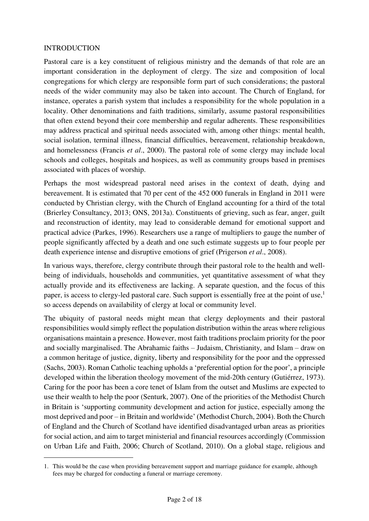#### INTRODUCTION

ı

Pastoral care is a key constituent of religious ministry and the demands of that role are an important consideration in the deployment of clergy. The size and composition of local congregations for which clergy are responsible form part of such considerations; the pastoral needs of the wider community may also be taken into account. The Church of England, for instance, operates a parish system that includes a responsibility for the whole population in a locality. Other denominations and faith traditions, similarly, assume pastoral responsibilities that often extend beyond their core membership and regular adherents. These responsibilities may address practical and spiritual needs associated with, among other things: mental health, social isolation, terminal illness, financial difficulties, bereavement, relationship breakdown, and homelessness (Francis *et al*., 2000). The pastoral role of some clergy may include local schools and colleges, hospitals and hospices, as well as community groups based in premises associated with places of worship.

Perhaps the most widespread pastoral need arises in the context of death, dying and bereavement. It is estimated that 70 per cent of the 452 000 funerals in England in 2011 were conducted by Christian clergy, with the Church of England accounting for a third of the total (Brierley Consultancy, 2013; ONS, 2013a). Constituents of grieving, such as fear, anger, guilt and reconstruction of identity, may lead to considerable demand for emotional support and practical advice (Parkes, 1996). Researchers use a range of multipliers to gauge the number of people significantly affected by a death and one such estimate suggests up to four people per death experience intense and disruptive emotions of grief (Prigerson *et al*., 2008).

In various ways, therefore, clergy contribute through their pastoral role to the health and wellbeing of individuals, households and communities, yet quantitative assessment of what they actually provide and its effectiveness are lacking. A separate question, and the focus of this paper, is access to clergy-led pastoral care. Such support is essentially free at the point of use,<sup>1</sup> so access depends on availability of clergy at local or community level.

The ubiquity of pastoral needs might mean that clergy deployments and their pastoral responsibilities would simply reflect the population distribution within the areas where religious organisations maintain a presence. However, most faith traditions proclaim priority for the poor and socially marginalised. The Abrahamic faiths – Judaism, Christianity, and Islam – draw on a common heritage of justice, dignity, liberty and responsibility for the poor and the oppressed (Sachs, 2003). Roman Catholic teaching upholds a 'preferential option for the poor', a principle developed within the liberation theology movement of the mid-20th century (Gutiérrez, 1973). Caring for the poor has been a core tenet of Islam from the outset and Muslims are expected to use their wealth to help the poor (Senturk, 2007). One of the priorities of the Methodist Church in Britain is 'supporting community development and action for justice, especially among the most deprived and poor – in Britain and worldwide' (Methodist Church, 2004). Both the Church of England and the Church of Scotland have identified disadvantaged urban areas as priorities for social action, and aim to target ministerial and financial resources accordingly (Commission on Urban Life and Faith, 2006; Church of Scotland, 2010). On a global stage, religious and

<sup>1.</sup> This would be the case when providing bereavement support and marriage guidance for example, although fees may be charged for conducting a funeral or marriage ceremony.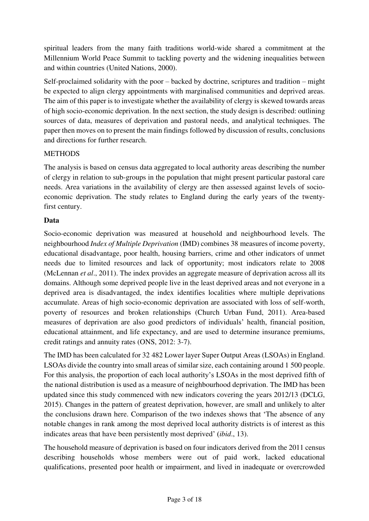spiritual leaders from the many faith traditions world-wide shared a commitment at the Millennium World Peace Summit to tackling poverty and the widening inequalities between and within countries (United Nations, 2000).

Self-proclaimed solidarity with the poor – backed by doctrine, scriptures and tradition – might be expected to align clergy appointments with marginalised communities and deprived areas. The aim of this paper is to investigate whether the availability of clergy is skewed towards areas of high socio-economic deprivation. In the next section, the study design is described: outlining sources of data, measures of deprivation and pastoral needs, and analytical techniques. The paper then moves on to present the main findings followed by discussion of results, conclusions and directions for further research.

## **METHODS**

The analysis is based on census data aggregated to local authority areas describing the number of clergy in relation to sub-groups in the population that might present particular pastoral care needs. Area variations in the availability of clergy are then assessed against levels of socioeconomic deprivation. The study relates to England during the early years of the twentyfirst century.

## **Data**

Socio-economic deprivation was measured at household and neighbourhood levels. The neighbourhood *Index of Multiple Deprivation* (IMD) combines 38 measures of income poverty, educational disadvantage, poor health, housing barriers, crime and other indicators of unmet needs due to limited resources and lack of opportunity; most indicators relate to 2008 (McLennan *et al*., 2011). The index provides an aggregate measure of deprivation across all its domains. Although some deprived people live in the least deprived areas and not everyone in a deprived area is disadvantaged, the index identifies localities where multiple deprivations accumulate. Areas of high socio-economic deprivation are associated with loss of self-worth, poverty of resources and broken relationships (Church Urban Fund, 2011). Area-based measures of deprivation are also good predictors of individuals' health, financial position, educational attainment, and life expectancy, and are used to determine insurance premiums, credit ratings and annuity rates (ONS, 2012: 3-7).

The IMD has been calculated for 32 482 Lower layer Super Output Areas (LSOAs) in England. LSOAs divide the country into small areas of similar size, each containing around 1 500 people. For this analysis, the proportion of each local authority's LSOAs in the most deprived fifth of the national distribution is used as a measure of neighbourhood deprivation. The IMD has been updated since this study commenced with new indicators covering the years 2012/13 (DCLG, 2015). Changes in the pattern of greatest deprivation, however, are small and unlikely to alter the conclusions drawn here. Comparison of the two indexes shows that 'The absence of any notable changes in rank among the most deprived local authority districts is of interest as this indicates areas that have been persistently most deprived' (*ibid*., 13).

The household measure of deprivation is based on four indicators derived from the 2011 census describing households whose members were out of paid work, lacked educational qualifications, presented poor health or impairment, and lived in inadequate or overcrowded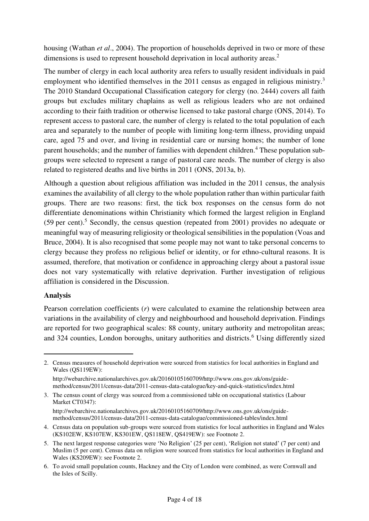housing (Wathan *et al*., 2004). The proportion of households deprived in two or more of these dimensions is used to represent household deprivation in local authority areas.<sup>2</sup>

The number of clergy in each local authority area refers to usually resident individuals in paid employment who identified themselves in the 2011 census as engaged in religious ministry.<sup>3</sup> The 2010 Standard Occupational Classification category for clergy (no. 2444) covers all faith groups but excludes military chaplains as well as religious leaders who are not ordained according to their faith tradition or otherwise licensed to take pastoral charge (ONS, 2014). To represent access to pastoral care, the number of clergy is related to the total population of each area and separately to the number of people with limiting long-term illness, providing unpaid care, aged 75 and over, and living in residential care or nursing homes; the number of lone parent households; and the number of families with dependent children.<sup>4</sup> These population subgroups were selected to represent a range of pastoral care needs. The number of clergy is also related to registered deaths and live births in 2011 (ONS, 2013a, b).

Although a question about religious affiliation was included in the 2011 census, the analysis examines the availability of all clergy to the whole population rather than within particular faith groups. There are two reasons: first, the tick box responses on the census form do not differentiate denominations within Christianity which formed the largest religion in England (59 per cent).<sup>5</sup> Secondly, the census question (repeated from 2001) provides no adequate or meaningful way of measuring religiosity or theological sensibilities in the population (Voas and Bruce, 2004). It is also recognised that some people may not want to take personal concerns to clergy because they profess no religious belief or identity, or for ethno-cultural reasons. It is assumed, therefore, that motivation or confidence in approaching clergy about a pastoral issue does not vary systematically with relative deprivation. Further investigation of religious affiliation is considered in the Discussion.

## **Analysis**

ı

Pearson correlation coefficients (*r*) were calculated to examine the relationship between area variations in the availability of clergy and neighbourhood and household deprivation. Findings are reported for two geographical scales: 88 county, unitary authority and metropolitan areas; and 324 counties, London boroughs, unitary authorities and districts.<sup>6</sup> Using differently sized

<sup>2.</sup> Census measures of household deprivation were sourced from statistics for local authorities in England and Wales (QS119EW):

http://webarchive.nationalarchives.gov.uk/20160105160709/http://www.ons.gov.uk/ons/guidemethod/census/2011/census-data/2011-census-data-catalogue/key-and-quick-statistics/index.html

<sup>3.</sup> The census count of clergy was sourced from a commissioned table on occupational statistics (Labour Market CT0347):

http://webarchive.nationalarchives.gov.uk/20160105160709/http://www.ons.gov.uk/ons/guidemethod/census/2011/census-data/2011-census-data-catalogue/commissioned-tables/index.html

<sup>4.</sup> Census data on population sub-groups were sourced from statistics for local authorities in England and Wales (KS102EW, KS107EW, KS301EW, QS118EW, QS419EW): see Footnote 2.

<sup>5.</sup> The next largest response categories were 'No Religion' (25 per cent), 'Religion not stated' (7 per cent) and Muslim (5 per cent). Census data on religion were sourced from statistics for local authorities in England and Wales (KS209EW): see Footnote 2.

<sup>6.</sup> To avoid small population counts, Hackney and the City of London were combined, as were Cornwall and the Isles of Scilly.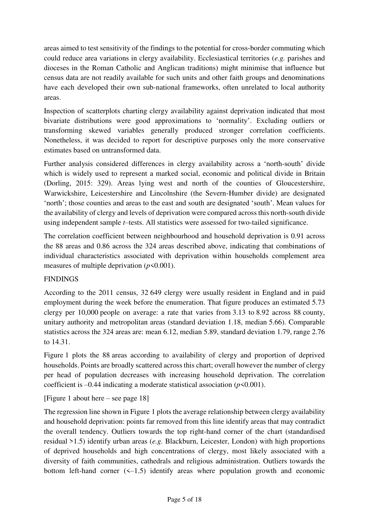areas aimed to test sensitivity of the findings to the potential for cross-border commuting which could reduce area variations in clergy availability. Ecclesiastical territories (*e.g.* parishes and dioceses in the Roman Catholic and Anglican traditions) might minimise that influence but census data are not readily available for such units and other faith groups and denominations have each developed their own sub-national frameworks, often unrelated to local authority areas.

Inspection of scatterplots charting clergy availability against deprivation indicated that most bivariate distributions were good approximations to 'normality'. Excluding outliers or transforming skewed variables generally produced stronger correlation coefficients. Nonetheless, it was decided to report for descriptive purposes only the more conservative estimates based on untransformed data.

Further analysis considered differences in clergy availability across a 'north-south' divide which is widely used to represent a marked social, economic and political divide in Britain (Dorling, 2015: 329). Areas lying west and north of the counties of Gloucestershire, Warwickshire, Leicestershire and Lincolnshire (the Severn-Humber divide) are designated 'north'; those counties and areas to the east and south are designated 'south'. Mean values for the availability of clergy and levels of deprivation were compared across this north-south divide using independent sample *t*–tests. All statistics were assessed for two-tailed significance.

The correlation coefficient between neighbourhood and household deprivation is 0.91 across the 88 areas and 0.86 across the 324 areas described above, indicating that combinations of individual characteristics associated with deprivation within households complement area measures of multiple deprivation (*p*<0.001).

# FINDINGS

According to the 2011 census, 32 649 clergy were usually resident in England and in paid employment during the week before the enumeration. That figure produces an estimated 5.73 clergy per 10,000 people on average: a rate that varies from 3.13 to 8.92 across 88 county, unitary authority and metropolitan areas (standard deviation 1.18, median 5.66). Comparable statistics across the 324 areas are: mean 6.12, median 5.89, standard deviation 1.79, range 2.76 to 14.31.

Figure 1 plots the 88 areas according to availability of clergy and proportion of deprived households. Points are broadly scattered across this chart; overall however the number of clergy per head of population decreases with increasing household deprivation. The correlation coefficient is  $-0.44$  indicating a moderate statistical association ( $p \le 0.001$ ).

# [Figure 1 about here – see page 18]

The regression line shown in Figure 1 plots the average relationship between clergy availability and household deprivation: points far removed from this line identify areas that may contradict the overall tendency. Outliers towards the top right-hand corner of the chart (standardised residual >1.5) identify urban areas (*e.g.* Blackburn, Leicester, London) with high proportions of deprived households and high concentrations of clergy, most likely associated with a diversity of faith communities, cathedrals and religious administration. Outliers towards the bottom left-hand corner  $(\le -1.5)$  identify areas where population growth and economic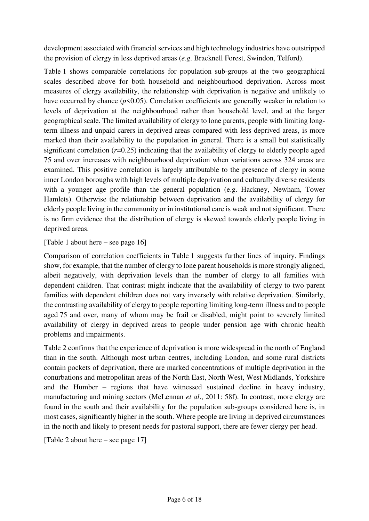development associated with financial services and high technology industries have outstripped the provision of clergy in less deprived areas (*e.g*. Bracknell Forest, Swindon, Telford).

Table 1 shows comparable correlations for population sub-groups at the two geographical scales described above for both household and neighbourhood deprivation. Across most measures of clergy availability, the relationship with deprivation is negative and unlikely to have occurred by chance  $(p<0.05)$ . Correlation coefficients are generally weaker in relation to levels of deprivation at the neighbourhood rather than household level, and at the larger geographical scale. The limited availability of clergy to lone parents, people with limiting longterm illness and unpaid carers in deprived areas compared with less deprived areas, is more marked than their availability to the population in general. There is a small but statistically significant correlation ( $r=0.25$ ) indicating that the availability of clergy to elderly people aged 75 and over increases with neighbourhood deprivation when variations across 324 areas are examined. This positive correlation is largely attributable to the presence of clergy in some inner London boroughs with high levels of multiple deprivation and culturally diverse residents with a younger age profile than the general population (e.g. Hackney, Newham, Tower Hamlets). Otherwise the relationship between deprivation and the availability of clergy for elderly people living in the community or in institutional care is weak and not significant. There is no firm evidence that the distribution of clergy is skewed towards elderly people living in deprived areas.

[Table 1 about here – see page 16]

Comparison of correlation coefficients in Table 1 suggests further lines of inquiry. Findings show, for example, that the number of clergy to lone parent households is more strongly aligned, albeit negatively, with deprivation levels than the number of clergy to all families with dependent children. That contrast might indicate that the availability of clergy to two parent families with dependent children does not vary inversely with relative deprivation. Similarly, the contrasting availability of clergy to people reporting limiting long-term illness and to people aged 75 and over, many of whom may be frail or disabled, might point to severely limited availability of clergy in deprived areas to people under pension age with chronic health problems and impairments.

Table 2 confirms that the experience of deprivation is more widespread in the north of England than in the south. Although most urban centres, including London, and some rural districts contain pockets of deprivation, there are marked concentrations of multiple deprivation in the conurbations and metropolitan areas of the North East, North West, West Midlands, Yorkshire and the Humber – regions that have witnessed sustained decline in heavy industry, manufacturing and mining sectors (McLennan *et al*., 2011: 58f). In contrast, more clergy are found in the south and their availability for the population sub-groups considered here is, in most cases, significantly higher in the south. Where people are living in deprived circumstances in the north and likely to present needs for pastoral support, there are fewer clergy per head.

[Table 2 about here – see page 17]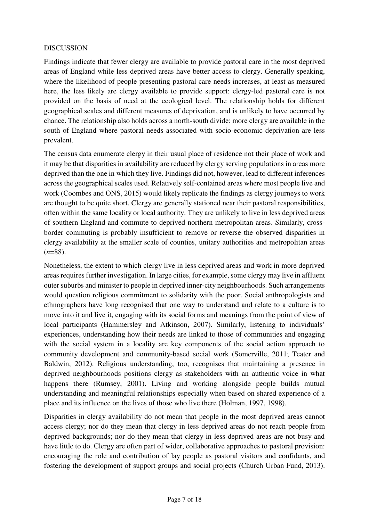## DISCUSSION

Findings indicate that fewer clergy are available to provide pastoral care in the most deprived areas of England while less deprived areas have better access to clergy. Generally speaking, where the likelihood of people presenting pastoral care needs increases, at least as measured here, the less likely are clergy available to provide support: clergy-led pastoral care is not provided on the basis of need at the ecological level. The relationship holds for different geographical scales and different measures of deprivation, and is unlikely to have occurred by chance. The relationship also holds across a north-south divide: more clergy are available in the south of England where pastoral needs associated with socio-economic deprivation are less prevalent.

The census data enumerate clergy in their usual place of residence not their place of work and it may be that disparities in availability are reduced by clergy serving populations in areas more deprived than the one in which they live. Findings did not, however, lead to different inferences across the geographical scales used. Relatively self-contained areas where most people live and work (Coombes and ONS, 2015) would likely replicate the findings as clergy journeys to work are thought to be quite short. Clergy are generally stationed near their pastoral responsibilities, often within the same locality or local authority. They are unlikely to live in less deprived areas of southern England and commute to deprived northern metropolitan areas. Similarly, crossborder commuting is probably insufficient to remove or reverse the observed disparities in clergy availability at the smaller scale of counties, unitary authorities and metropolitan areas (*n*=88).

Nonetheless, the extent to which clergy live in less deprived areas and work in more deprived areas requires further investigation. In large cities, for example, some clergy may live in affluent outer suburbs and minister to people in deprived inner-city neighbourhoods. Such arrangements would question religious commitment to solidarity with the poor. Social anthropologists and ethnographers have long recognised that one way to understand and relate to a culture is to move into it and live it, engaging with its social forms and meanings from the point of view of local participants (Hammersley and Atkinson, 2007). Similarly, listening to individuals' experiences, understanding how their needs are linked to those of communities and engaging with the social system in a locality are key components of the social action approach to community development and community-based social work (Somerville, 2011; Teater and Baldwin, 2012). Religious understanding, too, recognises that maintaining a presence in deprived neighbourhoods positions clergy as stakeholders with an authentic voice in what happens there (Rumsey, 2001). Living and working alongside people builds mutual understanding and meaningful relationships especially when based on shared experience of a place and its influence on the lives of those who live there (Holman, 1997, 1998).

Disparities in clergy availability do not mean that people in the most deprived areas cannot access clergy; nor do they mean that clergy in less deprived areas do not reach people from deprived backgrounds; nor do they mean that clergy in less deprived areas are not busy and have little to do. Clergy are often part of wider, collaborative approaches to pastoral provision: encouraging the role and contribution of lay people as pastoral visitors and confidants, and fostering the development of support groups and social projects (Church Urban Fund, 2013).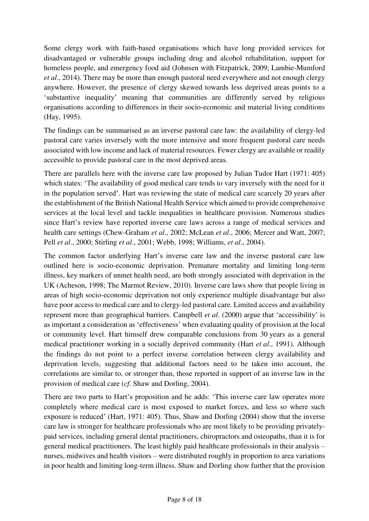Some clergy work with faith-based organisations which have long provided services for disadvantaged or vulnerable groups including drug and alcohol rehabilitation, support for homeless people, and emergency food aid (Johnsen with Fitzpatrick, 2009; Lambie-Mumford *et al*., 2014). There may be more than enough pastoral need everywhere and not enough clergy anywhere. However, the presence of clergy skewed towards less deprived areas points to a 'substantive inequality' meaning that communities are differently served by religious organisations according to differences in their socio-economic and material living conditions (Hay, 1995).

The findings can be summarised as an inverse pastoral care law: the availability of clergy-led pastoral care varies inversely with the more intensive and more frequent pastoral care needs associated with low income and lack of material resources. Fewer clergy are available or readily accessible to provide pastoral care in the most deprived areas.

There are parallels here with the inverse care law proposed by Julian Tudor Hart (1971: 405) which states: 'The availability of good medical care tends to vary inversely with the need for it in the population served'. Hart was reviewing the state of medical care scarcely 20 years after the establishment of the British National Health Service which aimed to provide comprehensive services at the local level and tackle inequalities in healthcare provision. Numerous studies since Hart's review have reported inverse care laws across a range of medical services and health care settings (Chew-Graham *et al*., 2002; McLean *et al*., 2006; Mercer and Watt, 2007; Pell *et al*., 2000; Stirling *et al*., 2001; Webb, 1998; Williams, *et al*., 2004).

The common factor underlying Hart's inverse care law and the inverse pastoral care law outlined here is socio-economic deprivation. Premature mortality and limiting long-term illness, key markers of unmet health need, are both strongly associated with deprivation in the UK (Acheson, 1998; The Marmot Review, 2010). Inverse care laws show that people living in areas of high socio-economic deprivation not only experience multiple disadvantage but also have poor access to medical care and to clergy-led pastoral care. Limited access and availability represent more than geographical barriers. Campbell *et al*. (2000) argue that 'accessibility' is as important a consideration as 'effectiveness' when evaluating quality of provision at the local or community level. Hart himself drew comparable conclusions from 30 years as a general medical practitioner working in a socially deprived community (Hart *et al*., 1991). Although the findings do not point to a perfect inverse correlation between clergy availability and deprivation levels, suggesting that additional factors need to be taken into account, the correlations are similar to, or stronger than, those reported in support of an inverse law in the provision of medical care (*cf.* Shaw and Dorling, 2004).

There are two parts to Hart's proposition and he adds: 'This inverse care law operates more completely where medical care is most exposed to market forces, and less so where such exposure is reduced' (Hart, 1971: 405). Thus, Shaw and Dorling (2004) show that the inverse care law is stronger for healthcare professionals who are most likely to be providing privatelypaid services, including general dental practitioners, chiropractors and osteopaths, than it is for general medical practitioners. The least highly paid healthcare professionals in their analysis – nurses, midwives and health visitors – were distributed roughly in proportion to area variations in poor health and limiting long-term illness. Shaw and Dorling show further that the provision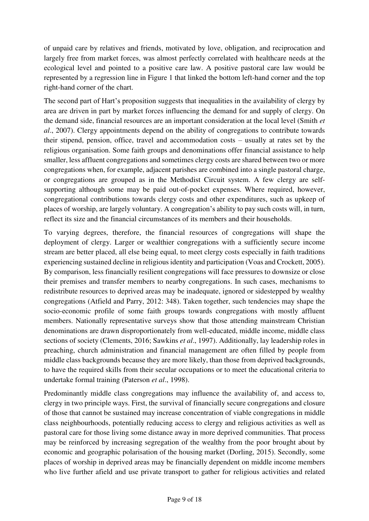of unpaid care by relatives and friends, motivated by love, obligation, and reciprocation and largely free from market forces, was almost perfectly correlated with healthcare needs at the ecological level and pointed to a positive care law. A positive pastoral care law would be represented by a regression line in Figure 1 that linked the bottom left-hand corner and the top right-hand corner of the chart.

The second part of Hart's proposition suggests that inequalities in the availability of clergy by area are driven in part by market forces influencing the demand for and supply of clergy. On the demand side, financial resources are an important consideration at the local level (Smith *et al*., 2007). Clergy appointments depend on the ability of congregations to contribute towards their stipend, pension, office, travel and accommodation costs – usually at rates set by the religious organisation. Some faith groups and denominations offer financial assistance to help smaller, less affluent congregations and sometimes clergy costs are shared between two or more congregations when, for example, adjacent parishes are combined into a single pastoral charge, or congregations are grouped as in the Methodist Circuit system. A few clergy are selfsupporting although some may be paid out-of-pocket expenses. Where required, however, congregational contributions towards clergy costs and other expenditures, such as upkeep of places of worship, are largely voluntary. A congregation's ability to pay such costs will, in turn, reflect its size and the financial circumstances of its members and their households.

To varying degrees, therefore, the financial resources of congregations will shape the deployment of clergy. Larger or wealthier congregations with a sufficiently secure income stream are better placed, all else being equal, to meet clergy costs especially in faith traditions experiencing sustained decline in religious identity and participation (Voas and Crockett, 2005). By comparison, less financially resilient congregations will face pressures to downsize or close their premises and transfer members to nearby congregations. In such cases, mechanisms to redistribute resources to deprived areas may be inadequate, ignored or sidestepped by wealthy congregations (Atfield and Parry, 2012: 348). Taken together, such tendencies may shape the socio-economic profile of some faith groups towards congregations with mostly affluent members. Nationally representative surveys show that those attending mainstream Christian denominations are drawn disproportionately from well-educated, middle income, middle class sections of society (Clements, 2016; Sawkins *et al*., 1997). Additionally, lay leadership roles in preaching, church administration and financial management are often filled by people from middle class backgrounds because they are more likely, than those from deprived backgrounds, to have the required skills from their secular occupations or to meet the educational criteria to undertake formal training (Paterson *et al*., 1998).

Predominantly middle class congregations may influence the availability of, and access to, clergy in two principle ways. First, the survival of financially secure congregations and closure of those that cannot be sustained may increase concentration of viable congregations in middle class neighbourhoods, potentially reducing access to clergy and religious activities as well as pastoral care for those living some distance away in more deprived communities. That process may be reinforced by increasing segregation of the wealthy from the poor brought about by economic and geographic polarisation of the housing market (Dorling, 2015). Secondly, some places of worship in deprived areas may be financially dependent on middle income members who live further afield and use private transport to gather for religious activities and related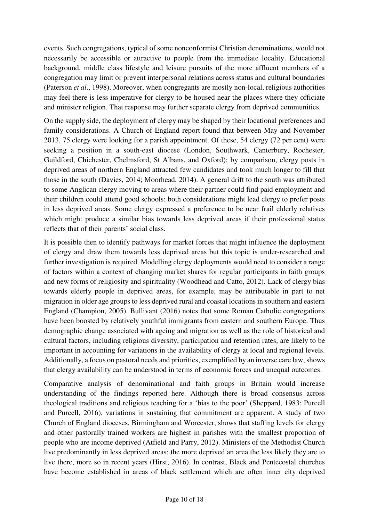events. Such congregations, typical of some nonconformist Christian denominations, would not necessarily be accessible or attractive to people from the immediate locality. Educational background, middle class lifestyle and leisure pursuits of the more affluent members of a congregation may limit or prevent interpersonal relations across status and cultural boundaries (Paterson *et al*., 1998). Moreover, when congregants are mostly non-local, religious authorities may feel there is less imperative for clergy to be housed near the places where they officiate and minister religion. That response may further separate clergy from deprived communities.

On the supply side, the deployment of clergy may be shaped by their locational preferences and family considerations. A Church of England report found that between May and November 2013, 75 clergy were looking for a parish appointment. Of these, 54 clergy (72 per cent) were seeking a position in a south-east diocese (London, Southwark, Canterbury, Rochester, Guildford, Chichester, Chelmsford, St Albans, and Oxford); by comparison, clergy posts in deprived areas of northern England attracted few candidates and took much longer to fill that those in the south (Davies, 2014; Moorhead, 2014). A general drift to the south was attributed to some Anglican clergy moving to areas where their partner could find paid employment and their children could attend good schools: both considerations might lead clergy to prefer posts in less deprived areas. Some clergy expressed a preference to be near frail elderly relatives which might produce a similar bias towards less deprived areas if their professional status reflects that of their parents' social class.

It is possible then to identify pathways for market forces that might influence the deployment of clergy and draw them towards less deprived areas but this topic is under-researched and further investigation is required. Modelling clergy deployments would need to consider a range of factors within a context of changing market shares for regular participants in faith groups and new forms of religiosity and spirituality (Woodhead and Catto, 2012). Lack of clergy bias towards elderly people in deprived areas, for example, may be attributable in part to net migration in older age groups to less deprived rural and coastal locations in southern and eastern England (Champion, 2005). Bullivant (2016) notes that some Roman Catholic congregations have been boosted by relatively youthful immigrants from eastern and southern Europe. Thus demographic change associated with ageing and migration as well as the role of historical and cultural factors, including religious diversity, participation and retention rates, are likely to be important in accounting for variations in the availability of clergy at local and regional levels. Additionally, a focus on pastoral needs and priorities, exemplified by an inverse care law, shows that clergy availability can be understood in terms of economic forces and unequal outcomes.

Comparative analysis of denominational and faith groups in Britain would increase understanding of the findings reported here. Although there is broad consensus across theological traditions and religious teaching for a 'bias to the poor' (Sheppard, 1983; Purcell and Purcell, 2016), variations in sustaining that commitment are apparent. A study of two Church of England dioceses, Birmingham and Worcester, shows that staffing levels for clergy and other pastorally trained workers are highest in parishes with the smallest proportion of people who are income deprived (Atfield and Parry, 2012). Ministers of the Methodist Church live predominantly in less deprived areas: the more deprived an area the less likely they are to live there, more so in recent years (Hirst, 2016). In contrast, Black and Pentecostal churches have become established in areas of black settlement which are often inner city deprived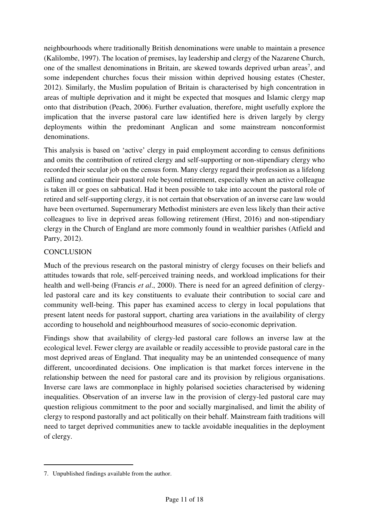neighbourhoods where traditionally British denominations were unable to maintain a presence (Kalilombe, 1997). The location of premises, lay leadership and clergy of the Nazarene Church, one of the smallest denominations in Britain, are skewed towards deprived urban areas<sup>7</sup>, and some independent churches focus their mission within deprived housing estates (Chester, 2012). Similarly, the Muslim population of Britain is characterised by high concentration in areas of multiple deprivation and it might be expected that mosques and Islamic clergy map onto that distribution (Peach, 2006). Further evaluation, therefore, might usefully explore the implication that the inverse pastoral care law identified here is driven largely by clergy deployments within the predominant Anglican and some mainstream nonconformist denominations.

This analysis is based on 'active' clergy in paid employment according to census definitions and omits the contribution of retired clergy and self-supporting or non-stipendiary clergy who recorded their secular job on the census form. Many clergy regard their profession as a lifelong calling and continue their pastoral role beyond retirement, especially when an active colleague is taken ill or goes on sabbatical. Had it been possible to take into account the pastoral role of retired and self-supporting clergy, it is not certain that observation of an inverse care law would have been overturned. Supernumerary Methodist ministers are even less likely than their active colleagues to live in deprived areas following retirement (Hirst, 2016) and non-stipendiary clergy in the Church of England are more commonly found in wealthier parishes (Atfield and Parry, 2012).

## **CONCLUSION**

Much of the previous research on the pastoral ministry of clergy focuses on their beliefs and attitudes towards that role, self-perceived training needs, and workload implications for their health and well-being (Francis *et al*., 2000). There is need for an agreed definition of clergyled pastoral care and its key constituents to evaluate their contribution to social care and community well-being. This paper has examined access to clergy in local populations that present latent needs for pastoral support, charting area variations in the availability of clergy according to household and neighbourhood measures of socio-economic deprivation.

Findings show that availability of clergy-led pastoral care follows an inverse law at the ecological level. Fewer clergy are available or readily accessible to provide pastoral care in the most deprived areas of England. That inequality may be an unintended consequence of many different, uncoordinated decisions. One implication is that market forces intervene in the relationship between the need for pastoral care and its provision by religious organisations. Inverse care laws are commonplace in highly polarised societies characterised by widening inequalities. Observation of an inverse law in the provision of clergy-led pastoral care may question religious commitment to the poor and socially marginalised, and limit the ability of clergy to respond pastorally and act politically on their behalf. Mainstream faith traditions will need to target deprived communities anew to tackle avoidable inequalities in the deployment of clergy.

l<br>L

<sup>7.</sup> Unpublished findings available from the author.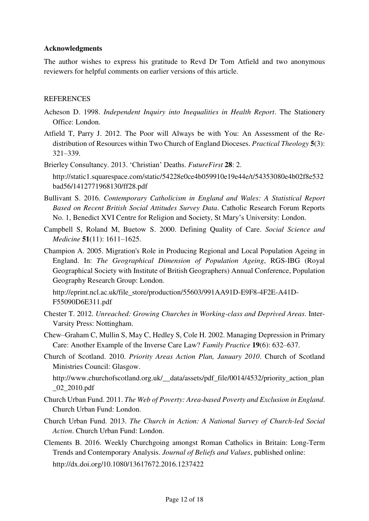#### **Acknowledgments**

The author wishes to express his gratitude to Revd Dr Tom Atfield and two anonymous reviewers for helpful comments on earlier versions of this article.

#### **REFERENCES**

- Acheson D. 1998. *Independent Inquiry into Inequalities in Health Report*. The Stationery Office: London.
- Atfield T, Parry J. 2012. The Poor will Always be with You: An Assessment of the Redistribution of Resources within Two Church of England Dioceses. *Practical Theology* **5**(3): 321–339.

Brierley Consultancy. 2013. 'Christian' Deaths. *FutureFirst* **28**: 2. http://static1.squarespace.com/static/54228e0ce4b059910e19e44e/t/54353080e4b02f8e532 bad56/1412771968130/ff28.pdf

- Bullivant S. 2016. *Contemporary Catholicism in England and Wales: A Statistical Report Based on Recent British Social Attitudes Survey Data*. Catholic Research Forum Reports No. 1, Benedict XVI Centre for Religion and Society, St Mary's University: London.
- Campbell S, Roland M, Buetow S. 2000. Defining Quality of Care. *Social Science and Medicine* **51**(11): 1611–1625.
- Champion A. 2005. Migration's Role in Producing Regional and Local Population Ageing in England. In: *The Geographical Dimension of Population Ageing*, RGS-IBG (Royal Geographical Society with Institute of British Geographers) Annual Conference, Population Geography Research Group: London.

http://eprint.ncl.ac.uk/file\_store/production/55603/991AA91D-E9F8-4F2E-A41D-F55090D6E311.pdf

- Chester T. 2012. *Unreached: Growing Churches in Working-class and Deprived Areas*. Inter-Varsity Press: Nottingham.
- Chew–Graham C, Mullin S, May C, Hedley S, Cole H. 2002. Managing Depression in Primary Care: Another Example of the Inverse Care Law? *Family Practice* **19**(6): 632–637.
- Church of Scotland. 2010. *Priority Areas Action Plan, January 2010*. Church of Scotland Ministries Council: Glasgow.

http://www.churchofscotland.org.uk/\_\_data/assets/pdf\_file/0014/4532/priority\_action\_plan \_02\_2010.pdf

- Church Urban Fund. 2011. *The Web of Poverty: Area-based Poverty and Exclusion in England*. Church Urban Fund: London.
- Church Urban Fund. 2013. *The Church in Action: A National Survey of Church-led Social Action*. Church Urban Fund: London.
- Clements B. 2016. Weekly Churchgoing amongst Roman Catholics in Britain: Long-Term Trends and Contemporary Analysis. *Journal of Beliefs and Values*, published online: http://dx.doi.org/10.1080/13617672.2016.1237422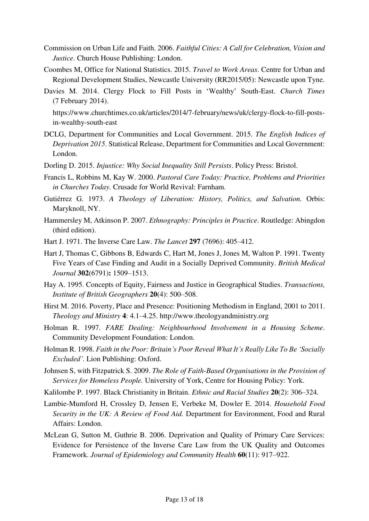- Commission on Urban Life and Faith. 2006. *Faithful Cities: A Call for Celebration, Vision and Justice*. Church House Publishing: London.
- Coombes M, Office for National Statistics. 2015. *Travel to Work Areas*. Centre for Urban and Regional Development Studies, Newcastle University (RR2015/05): Newcastle upon Tyne.
- Davies M. 2014. Clergy Flock to Fill Posts in 'Wealthy' South-East. *Church Times* (7 February 2014).

https://www.churchtimes.co.uk/articles/2014/7-february/news/uk/clergy-flock-to-fill-postsin-wealthy-south-east

- DCLG, Department for Communities and Local Government. 2015. *The English Indices of Deprivation 2015*. Statistical Release, Department for Communities and Local Government: London.
- Dorling D. 2015. *Injustice: Why Social Inequality Still Persists*. Policy Press: Bristol.
- Francis L, Robbins M, Kay W. 2000. *Pastoral Care Today: Practice, Problems and Priorities in Churches Today.* Crusade for World Revival: Farnham.
- Gutiérrez G. 1973. *A Theology of Liberation: History, Politics, and Salvation.* Orbis: Maryknoll, NY.
- Hammersley M, Atkinson P. 2007. *Ethnography: Principles in Practice*. Routledge: Abingdon (third edition).
- Hart J. 1971. The Inverse Care Law. *The Lancet* **297** (7696): 405–412.
- Hart J, Thomas C, Gibbons B, Edwards C, Hart M, Jones J, Jones M, Walton P. 1991. Twenty Five Years of Case Finding and Audit in a Socially Deprived Community. *British Medical Journal* **302**(6791)**:** 1509–1513.
- Hay A. 1995. Concepts of Equity, Fairness and Justice in Geographical Studies. *Transactions, Institute of British Geographers* **20**(4): 500–508.
- Hirst M. 2016. Poverty, Place and Presence: Positioning Methodism in England, 2001 to 2011. *Theology and Ministry* **4**: 4.1–4.25. http://www.theologyandministry.org
- Holman R. 1997. *FARE Dealing: Neighbourhood Involvement in a Housing Scheme*. Community Development Foundation: London.
- Holman R. 1998. *Faith in the Poor: Britain's Poor Reveal What It's Really Like To Be 'Socially Excluded'*. Lion Publishing: Oxford.
- Johnsen S, with Fitzpatrick S. 2009. *The Role of Faith-Based Organisations in the Provision of Services for Homeless People.* University of York, Centre for Housing Policy: York.
- Kalilombe P. 1997. Black Christianity in Britain. *Ethnic and Racial Studies* **20**(2): 306–324.
- Lambie-Mumford H, Crossley D, Jensen E, Verbeke M, Dowler E. 2014. *Household Food Security in the UK: A Review of Food Aid.* Department for Environment, Food and Rural Affairs: London.
- McLean G, Sutton M, Guthrie B. 2006. Deprivation and Quality of Primary Care Services: Evidence for Persistence of the Inverse Care Law from the UK Quality and Outcomes Framework. *Journal of Epidemiology and Community Health* **60**(11): 917–922.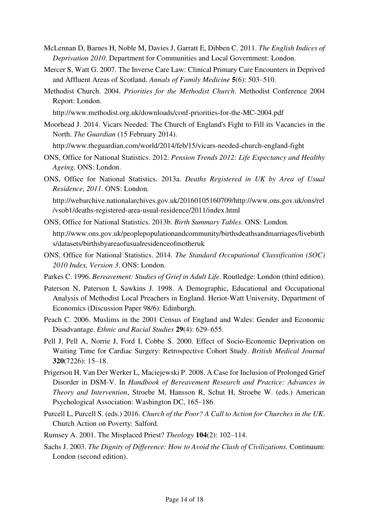- McLennan D, Barnes H, Noble M, Davies J, Garratt E, Dibben C. 2011. *The English Indices of Deprivation 2010*. Department for Communities and Local Government: London.
- Mercer S, Watt G. 2007. The Inverse Care Law: Clinical Primary Care Encounters in Deprived and Affluent Areas of Scotland. *Annals of Family Medicine* **5**(6): 503–510.
- Methodist Church. 2004. *Priorities for the Methodist Church*. Methodist Conference 2004 Report: London.
	- http://www.methodist.org.uk/downloads/conf-priorities-for-the-MC-2004.pdf
- Moorhead J. 2014. Vicars Needed: The Church of England's Fight to Fill its Vacancies in the North. *The Guardian* (15 February 2014).

http://www.theguardian.com/world/2014/feb/15/vicars-needed-church-england-fight

- ONS, Office for National Statistics. 2012. *Pension Trends 2012: Life Expectancy and Healthy Ageing*. ONS: London.
- ONS, Office for National Statistics. 2013a. *Deaths Registered in UK by Area of Usual Residence, 2011*. ONS: London.

http://webarchive.nationalarchives.gov.uk/20160105160709/http://www.ons.gov.uk/ons/rel /vsob1/deaths-registered-area-usual-residence/2011/index.html

- ONS, Office for National Statistics. 2013b. *Birth Summary Tables*. ONS: London. http://www.ons.gov.uk/peoplepopulationandcommunity/birthsdeathsandmarriages/livebirth s/datasets/birthsbyareaofusualresidenceofmotheruk
- ONS, Office for National Statistics. 2014. *The Standard Occupational Classification (SOC) 2010 Index, Version 3*. ONS: London.
- Parkes C. 1996. *Bereavement: Studies of Grief in Adult Life*. Routledge: London (third edition).
- Paterson N, Paterson I, Sawkins J. 1998. A Demographic, Educational and Occupational Analysis of Methodist Local Preachers in England. Heriot-Watt University, Department of Economics (Discussion Paper 98/6): Edinburgh.
- Peach C. 2006. Muslims in the 2001 Census of England and Wales: Gender and Economic Disadvantage. *Ethnic and Racial Studies* **29**(4): 629–655.
- Pell J, Pell A, Norrie J, Ford I, Cobbe S. 2000. Effect of Socio-Economic Deprivation on Waiting Time for Cardiac Surgery: Retrospective Cohort Study. *British Medical Journal* **320**(7226): 15–18.
- Prigerson H, Van Der Werker L, Maciejewski P. 2008. A Case for Inclusion of Prolonged Grief Disorder in DSM-V. In *Handbook of Bereavement Research and Practice: Advances in Theory and Intervention*, Stroebe M, Hansson R, Schut H, Stroebe W. (eds.) American Psychological Association: Washington DC, 165–186.
- Purcell L, Purcell S. (eds.) 2016. *Church of the Poor? A Call to Action for Churches in the UK*. Church Action on Poverty: Salford.
- Rumsey A. 2001. The Misplaced Priest? *Theology* **104**(2): 102–114.
- Sachs J. 2003. *The Dignity of Difference: How to Avoid the Clash of Civilizations.* Continuum: London (second edition).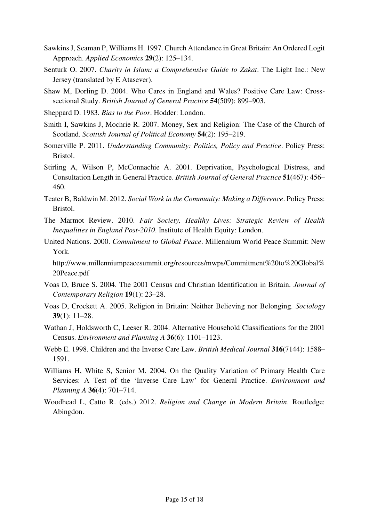- Sawkins J, Seaman P, Williams H. 1997. Church Attendance in Great Britain: An Ordered Logit Approach. *Applied Economics* **29**(2): 125–134.
- Senturk O. 2007. *Charity in Islam: a Comprehensive Guide to Zakat*. The Light Inc.: New Jersey (translated by E Atasever).
- Shaw M, Dorling D. 2004. Who Cares in England and Wales? Positive Care Law: Crosssectional Study. *British Journal of General Practice* **54**(509): 899–903.
- Sheppard D. 1983. *Bias to the Poor*. Hodder: London.
- Smith I, Sawkins J, Mochrie R. 2007. Money, Sex and Religion: The Case of the Church of Scotland. *Scottish Journal of Political Economy* **54**(2): 195–219.
- Somerville P. 2011. *Understanding Community: Politics, Policy and Practice*. Policy Press: Bristol.
- Stirling A, Wilson P, McConnachie A. 2001. Deprivation, Psychological Distress, and Consultation Length in General Practice. *British Journal of General Practice* **51**(467): 456– 460.
- Teater B, Baldwin M. 2012. *Social Work in the Community: Making a Difference*. Policy Press: Bristol.
- The Marmot Review. 2010. *Fair Society, Healthy Lives: Strategic Review of Health Inequalities in England Post-2010*. Institute of Health Equity: London.
- United Nations. 2000. *Commitment to Global Peace*. Millennium World Peace Summit: New York.

http://www.millenniumpeacesummit.org/resources/mwps/Commitment%20to%20Global% 20Peace.pdf

- Voas D, Bruce S. 2004. The 2001 Census and Christian Identification in Britain. *Journal of Contemporary Religion* **19**(1): 23–28.
- Voas D, Crockett A. 2005. Religion in Britain: Neither Believing nor Belonging. *Sociology* **39**(1): 11–28.
- Wathan J, Holdsworth C, Leeser R. 2004. Alternative Household Classifications for the 2001 Census. *Environment and Planning A* **36**(6): 1101–1123.
- Webb E. 1998. Children and the Inverse Care Law. *British Medical Journal* **316**(7144): 1588– 1591.
- Williams H, White S, Senior M. 2004. On the Quality Variation of Primary Health Care Services: A Test of the 'Inverse Care Law' for General Practice. *Environment and Planning A* **36**(4): 701–714.
- Woodhead L, Catto R. (eds.) 2012. *Religion and Change in Modern Britain*. Routledge: Abingdon.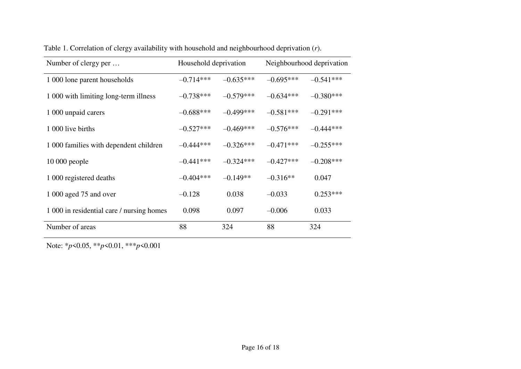| Number of clergy per                      | Household deprivation |             | Neighbourhood deprivation |             |
|-------------------------------------------|-----------------------|-------------|---------------------------|-------------|
| 1 000 lone parent households              | $-0.714***$           | $-0.635***$ | $-0.695***$               | $-0.541***$ |
| 1 000 with limiting long-term illness     | $-0.738***$           | $-0.579***$ | $-0.634***$               | $-0.380***$ |
| 1 000 unpaid carers                       | $-0.688***$           | $-0.499***$ | $-0.581***$               | $-0.291***$ |
| 1 000 live births                         | $-0.527***$           | $-0.469***$ | $-0.576***$               | $-0.444***$ |
| 1 000 families with dependent children    | $-0.444***$           | $-0.326***$ | $-0.471***$               | $-0.255***$ |
| $10000$ people                            | $-0.441***$           | $-0.324***$ | $-0.427***$               | $-0.208***$ |
| 1 000 registered deaths                   | $-0.404***$           | $-0.149**$  | $-0.316**$                | 0.047       |
| 1 000 aged 75 and over                    | $-0.128$              | 0.038       | $-0.033$                  | $0.253***$  |
| 1 000 in residential care / nursing homes | 0.098                 | 0.097       | $-0.006$                  | 0.033       |
| Number of areas                           | 88                    | 324         | 88                        | 324         |

Table 1. Correlation of clergy availability with household and neighbourhood deprivation (*r*).

Note: \**p*<0.05, \*\**p*<0.01, \*\*\**p*<0.001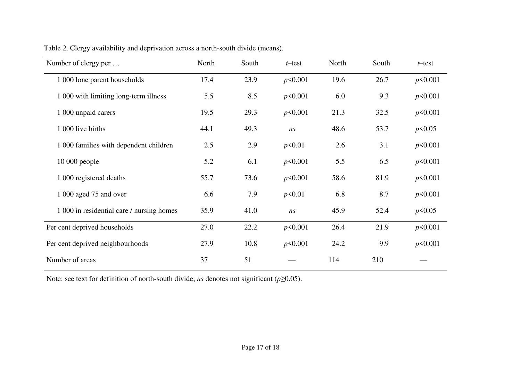| Number of clergy per                      | North | South | t-test     | North | South | t-test     |
|-------------------------------------------|-------|-------|------------|-------|-------|------------|
| 1 000 lone parent households              | 17.4  | 23.9  | $p$ <0.001 | 19.6  | 26.7  | p<0.001    |
| 1 000 with limiting long-term illness     | 5.5   | 8.5   | $p$ <0.001 | 6.0   | 9.3   | p<0.001    |
| 1 000 unpaid carers                       | 19.5  | 29.3  | p<0.001    | 21.3  | 32.5  | p<0.001    |
| 1 000 live births                         | 44.1  | 49.3  | ns         | 48.6  | 53.7  | $p$ <0.05  |
| 1 000 families with dependent children    | 2.5   | 2.9   | p<0.01     | 2.6   | 3.1   | p<0.001    |
| $10000$ people                            | 5.2   | 6.1   | p<0.001    | 5.5   | 6.5   | p<0.001    |
| 1 000 registered deaths                   | 55.7  | 73.6  | p<0.001    | 58.6  | 81.9  | p<0.001    |
| 1 000 aged 75 and over                    | 6.6   | 7.9   | p<0.01     | 6.8   | 8.7   | p<0.001    |
| 1 000 in residential care / nursing homes | 35.9  | 41.0  | ns         | 45.9  | 52.4  | $p$ <0.05  |
| Per cent deprived households              | 27.0  | 22.2  | p<0.001    | 26.4  | 21.9  | $p$ <0.001 |
| Per cent deprived neighbourhoods          | 27.9  | 10.8  | $p$ <0.001 | 24.2  | 9.9   | p<0.001    |
| Number of areas                           | 37    | 51    |            | 114   | 210   |            |

Table 2. Clergy availability and deprivation across a north-south divide (means).

Note: see text for definition of north-south divide; *ns* denotes not significant (*p≥*0.05).